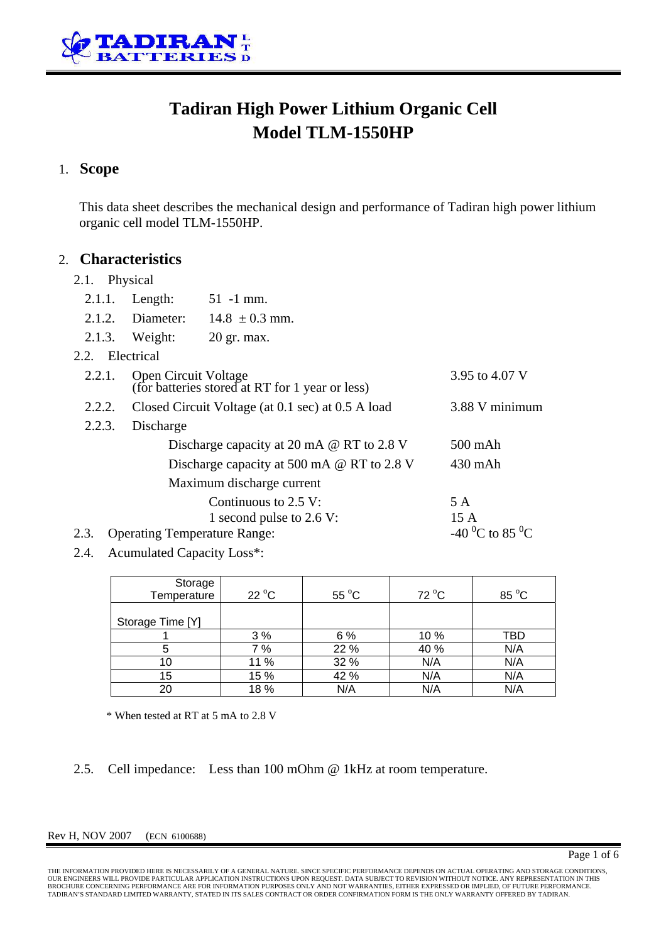

# **Tadiran High Power Lithium Organic Cell Model TLM-1550HP**

#### 1. **Scope**

This data sheet describes the mechanical design and performance of Tadiran high power lithium organic cell model TLM-1550HP.

#### 2. **Characteristics**

#### 2.1. Physical

| 2.1.1.                                      | Length:                                                                 | $51 - 1$ mm.             |      |
|---------------------------------------------|-------------------------------------------------------------------------|--------------------------|------|
| 2.1.2.                                      | Diameter:                                                               | $14.8 \pm 0.3$ mm.       |      |
|                                             | $2.1.3.$ Weight:                                                        | $20$ gr. max.            |      |
| 2.2. Electrical                             |                                                                         |                          |      |
| 2.2.1.                                      | Open Circuit Voltage<br>(for batteries stored at RT for 1 year or less) | 3.95 to 4.07 V           |      |
| 2.2.2.                                      | Closed Circuit Voltage (at 0.1 sec) at 0.5 A load                       | 3.88 V minimum           |      |
| 2.2.3.                                      | Discharge                                                               |                          |      |
|                                             | Discharge capacity at 20 mA @ RT to 2.8 V                               | 500 mAh                  |      |
|                                             | Discharge capacity at 500 mA $\omega$ RT to 2.8 V                       | $430$ mAh                |      |
|                                             | Maximum discharge current                                               |                          |      |
|                                             |                                                                         | Continuous to $2.5$ V:   | 5 A  |
|                                             |                                                                         | 1 second pulse to 2.6 V: | 15 A |
| 2.3.<br><b>Operating Temperature Range:</b> | -40 <sup>o</sup> C to 85 <sup>o</sup> C                                 |                          |      |

2.4. Acumulated Capacity Loss\*:

| Storage<br>Temperature | $22^{\circ}$ C | $55^{\circ}$ C | 72 °C | 85 °C |
|------------------------|----------------|----------------|-------|-------|
| Storage Time [Y]       |                |                |       |       |
|                        | 3%             | 6 %            | 10 %  | TBD   |
| 5                      | 7 %            | 22 %           | 40 %  | N/A   |
| 10                     | 11 %           | 32 %           | N/A   | N/A   |
| 15                     | 15 %           | 42 %           | N/A   | N/A   |
| 20                     | 18%            | N/A            | N/A   | N/A   |

\* When tested at RT at 5 mA to 2.8 V

2.5. Cell impedance: Less than 100 mOhm @ 1kHz at room temperature.

#### Rev H, NOV 2007 (ECN 6100688)

THE INFORMATION PROVIDED HERE IS NECESSARILY OF A GENERAL NATURE. SINCE SPECIFIC PERFORMANCE DEPENDS ON ACTUAL OPERATING AND STORAGE CONDITIONS,<br>OUR ENGINEERS WILL PROVIDE PARTICULAR APPLICATION INSTRUCTIONS UPON REQUEST. TADIRAN'S STANDARD LIMITED WARRANTY, STATED IN ITS SALES CONTRACT OR ORDER CONFIRMATION FORM IS THE ONLY WARRANTY OFFERED BY TADIRAN.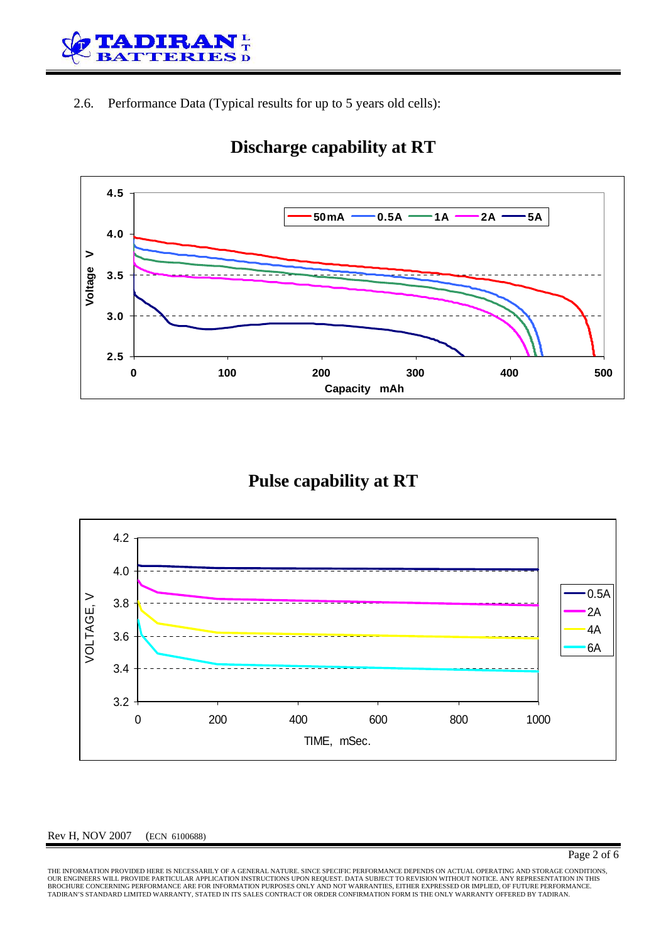

2.6. Performance Data (Typical results for up to 5 years old cells):



# **Discharge capability at RT**

## **Pulse capability at RT**



#### Rev H, NOV 2007 (ECN 6100688)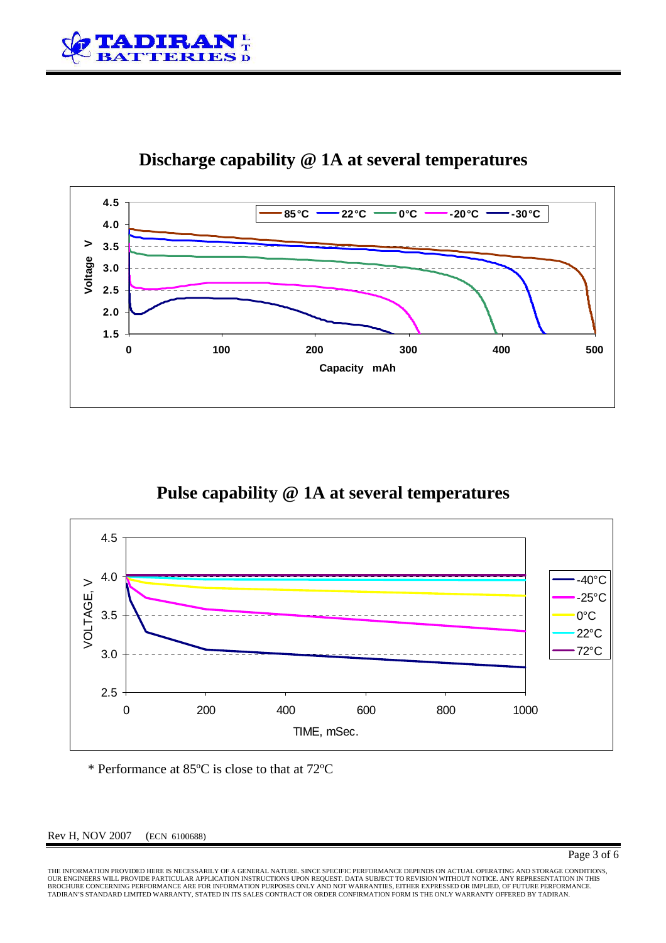



## **Discharge capability @ 1A at several temperatures**

## **Pulse capability @ 1A at several temperatures**



\* Performance at 85ºC is close to that at 72ºC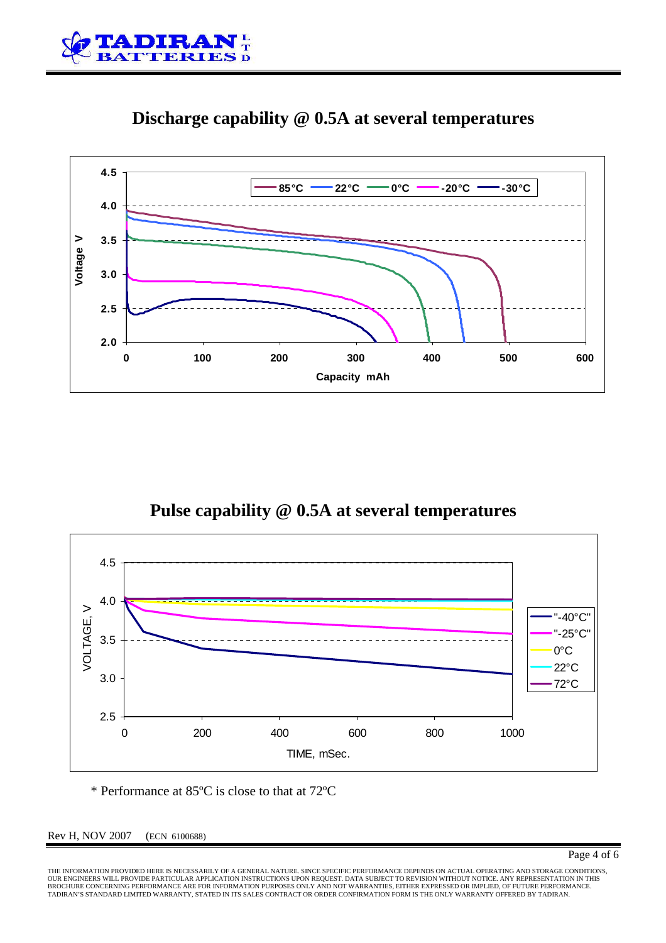



#### **Discharge capability @ 0.5A at several temperatures**

## **Pulse capability @ 0.5A at several temperatures**



\* Performance at 85ºC is close to that at 72ºC

Rev H, NOV 2007 (ECN 6100688)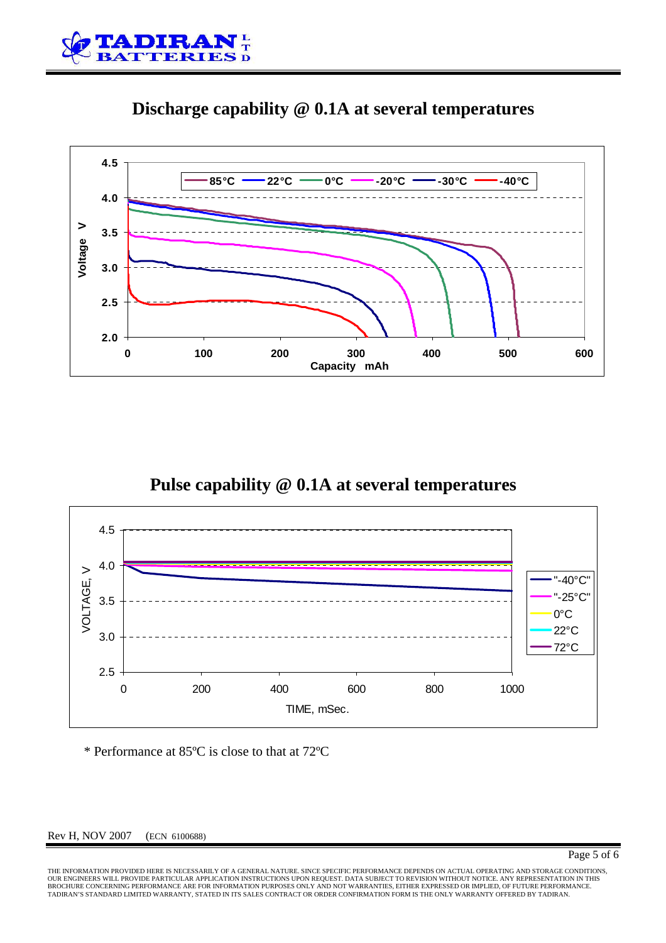





# **Pulse capability @ 0.1A at several temperatures**



\* Performance at 85ºC is close to that at 72ºC